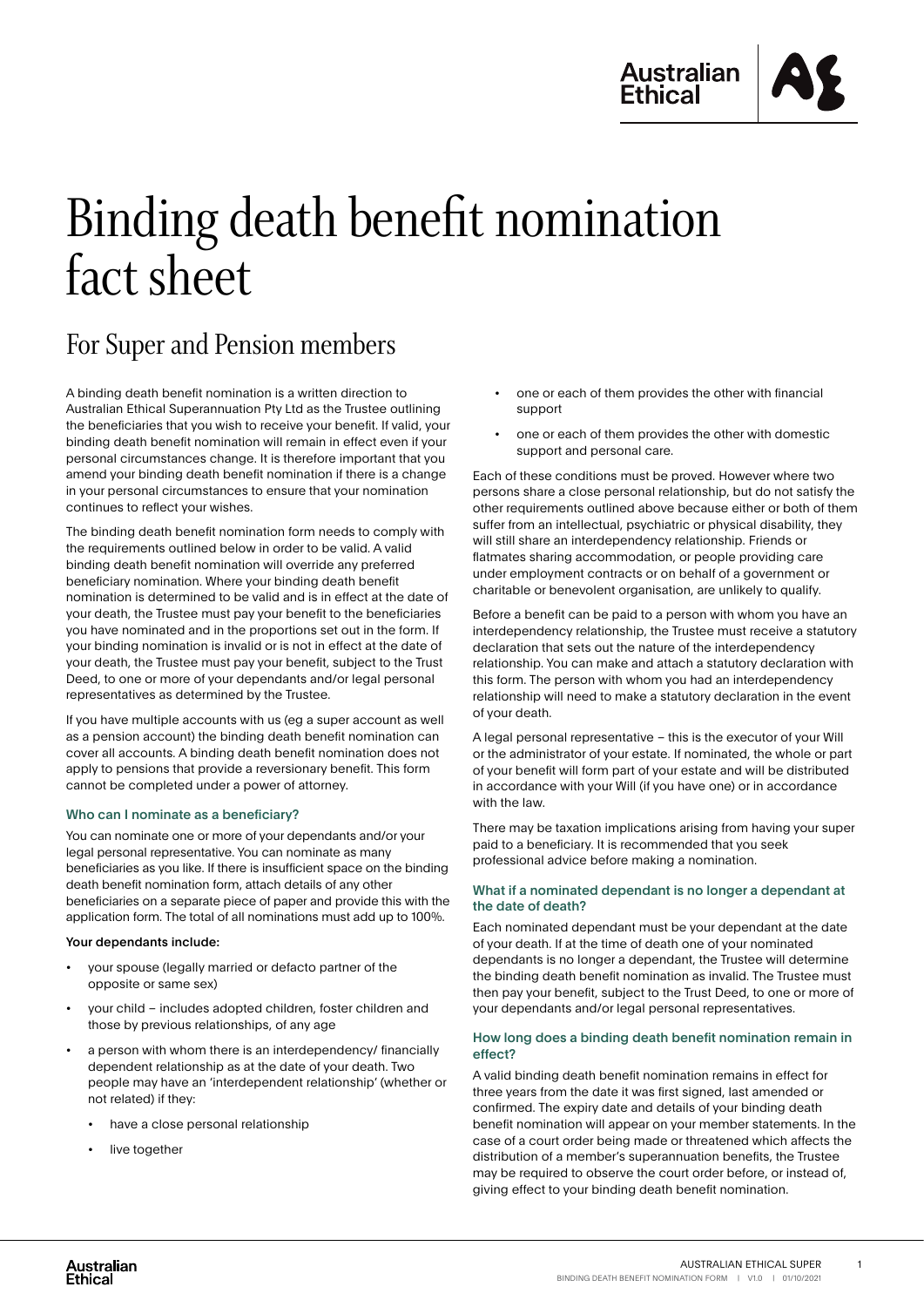

## Binding death benefit nomination fact sheet

## For Super and Pension members

A binding death benefit nomination is a written direction to Australian Ethical Superannuation Pty Ltd as the Trustee outlining the beneficiaries that you wish to receive your benefit. If valid, your binding death benefit nomination will remain in effect even if your personal circumstances change. It is therefore important that you amend your binding death benefit nomination if there is a change in your personal circumstances to ensure that your nomination continues to reflect your wishes.

The binding death benefit nomination form needs to comply with the requirements outlined below in order to be valid. A valid binding death benefit nomination will override any preferred beneficiary nomination. Where your binding death benefit nomination is determined to be valid and is in effect at the date of your death, the Trustee must pay your benefit to the beneficiaries you have nominated and in the proportions set out in the form. If your binding nomination is invalid or is not in effect at the date of your death, the Trustee must pay your benefit, subject to the Trust Deed, to one or more of your dependants and/or legal personal representatives as determined by the Trustee.

If you have multiple accounts with us (eg a super account as well as a pension account) the binding death benefit nomination can cover all accounts. A binding death benefit nomination does not apply to pensions that provide a reversionary benefit. This form cannot be completed under a power of attorney.

#### Who can I nominate as a beneficiary?

You can nominate one or more of your dependants and/or your legal personal representative. You can nominate as many beneficiaries as you like. If there is insufficient space on the binding death benefit nomination form, attach details of any other beneficiaries on a separate piece of paper and provide this with the application form. The total of all nominations must add up to 100%.

#### Your dependants include:

- your spouse (legally married or defacto partner of the opposite or same sex)
- your child includes adopted children, foster children and those by previous relationships, of any age
- a person with whom there is an interdependency/ financially dependent relationship as at the date of your death. Two people may have an 'interdependent relationship' (whether or not related) if they:
	- have a close personal relationship
	- live together
- one or each of them provides the other with financial support
- one or each of them provides the other with domestic support and personal care.

Each of these conditions must be proved. However where two persons share a close personal relationship, but do not satisfy the other requirements outlined above because either or both of them suffer from an intellectual, psychiatric or physical disability, they will still share an interdependency relationship. Friends or flatmates sharing accommodation, or people providing care under employment contracts or on behalf of a government or charitable or benevolent organisation, are unlikely to qualify.

Before a benefit can be paid to a person with whom you have an interdependency relationship, the Trustee must receive a statutory declaration that sets out the nature of the interdependency relationship. You can make and attach a statutory declaration with this form. The person with whom you had an interdependency relationship will need to make a statutory declaration in the event of your death.

A legal personal representative – this is the executor of your Will or the administrator of your estate. If nominated, the whole or part of your benefit will form part of your estate and will be distributed in accordance with your Will (if you have one) or in accordance with the law.

There may be taxation implications arising from having your super paid to a beneficiary. It is recommended that you seek professional advice before making a nomination.

#### What if a nominated dependant is no longer a dependant at the date of death?

Each nominated dependant must be your dependant at the date of your death. If at the time of death one of your nominated dependants is no longer a dependant, the Trustee will determine the binding death benefit nomination as invalid. The Trustee must then pay your benefit, subject to the Trust Deed, to one or more of your dependants and/or legal personal representatives.

#### How long does a binding death benefit nomination remain in effect?

A valid binding death benefit nomination remains in effect for three years from the date it was first signed, last amended or confirmed. The expiry date and details of your binding death benefit nomination will appear on your member statements. In the case of a court order being made or threatened which affects the distribution of a member's superannuation benefits, the Trustee may be required to observe the court order before, or instead of, giving effect to your binding death benefit nomination.

1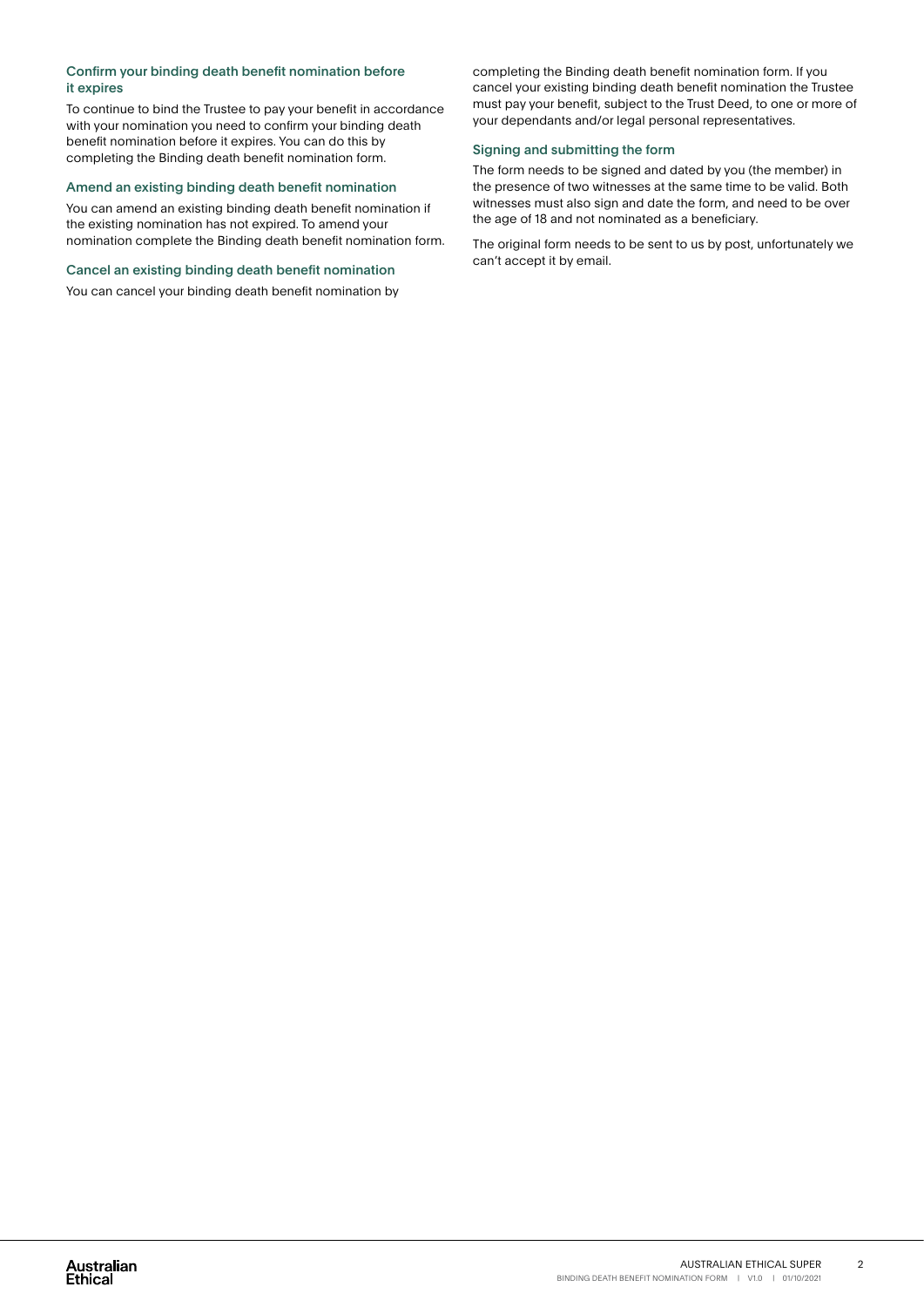#### Confirm your binding death benefit nomination before it expires

To continue to bind the Trustee to pay your benefit in accordance with your nomination you need to confirm your binding death benefit nomination before it expires. You can do this by completing the Binding death benefit nomination form.

#### Amend an existing binding death benefit nomination

You can amend an existing binding death benefit nomination if the existing nomination has not expired. To amend your nomination complete the Binding death benefit nomination form.

#### Cancel an existing binding death benefit nomination

You can cancel your binding death benefit nomination by

completing the Binding death benefit nomination form. If you cancel your existing binding death benefit nomination the Trustee must pay your benefit, subject to the Trust Deed, to one or more of your dependants and/or legal personal representatives.

#### Signing and submitting the form

The form needs to be signed and dated by you (the member) in the presence of two witnesses at the same time to be valid. Both witnesses must also sign and date the form, and need to be over the age of 18 and not nominated as a beneficiary.

The original form needs to be sent to us by post, unfortunately we can't accept it by email.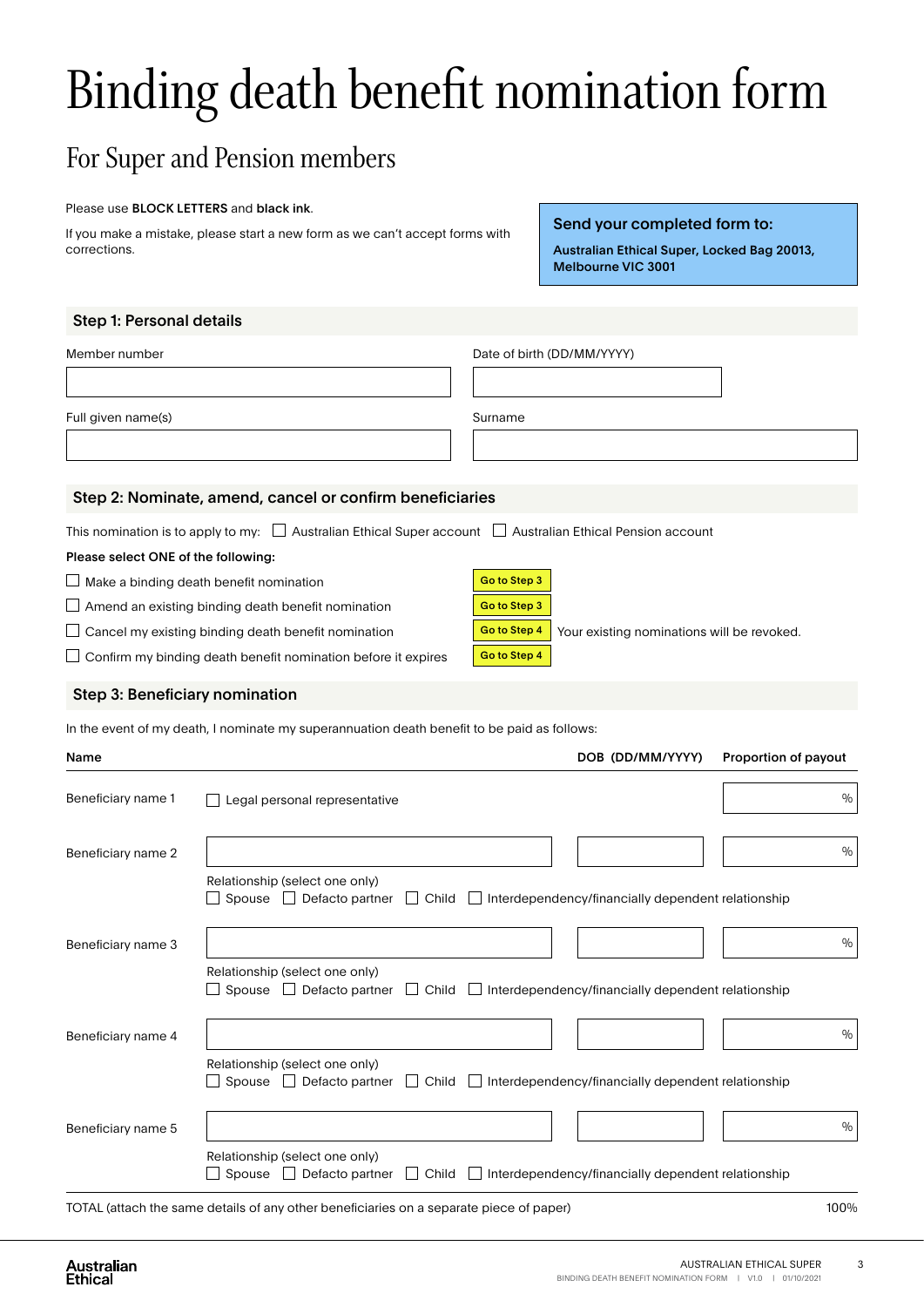# Binding death benefit nomination form

### For Super and Pension members

#### Please use BLOCK LETTERS and black ink.

If you make a mistake, please start a new form as we can't accept forms with corrections.

Send your completed form to:

Australian Ethical Super, Locked Bag 20013, Melbourne VIC 3001

#### Step 1: Personal details

| Member number                                                                        |                                                                                                                      |              | Date of birth (DD/MM/YYYY)                 |                      |
|--------------------------------------------------------------------------------------|----------------------------------------------------------------------------------------------------------------------|--------------|--------------------------------------------|----------------------|
| Full given name(s)                                                                   |                                                                                                                      | Surname      |                                            |                      |
|                                                                                      | Step 2: Nominate, amend, cancel or confirm beneficiaries                                                             |              |                                            |                      |
|                                                                                      | This nomination is to apply to my: $\Box$ Australian Ethical Super account $\Box$ Australian Ethical Pension account |              |                                            |                      |
| Please select ONE of the following:                                                  |                                                                                                                      |              |                                            |                      |
| $\Box$ Make a binding death benefit nomination                                       |                                                                                                                      | Go to Step 3 |                                            |                      |
|                                                                                      | $\Box$ Amend an existing binding death benefit nomination                                                            | Go to Step 3 |                                            |                      |
| $\Box$ Cancel my existing binding death benefit nomination                           |                                                                                                                      | Go to Step 4 | Your existing nominations will be revoked. |                      |
| $\Box$ Confirm my binding death benefit nomination before it expires<br>Go to Step 4 |                                                                                                                      |              |                                            |                      |
| Step 3: Beneficiary nomination                                                       |                                                                                                                      |              |                                            |                      |
|                                                                                      | In the event of my death, I nominate my superannuation death benefit to be paid as follows:                          |              |                                            |                      |
| Name                                                                                 |                                                                                                                      |              | DOB (DD/MM/YYYY)                           | Proportion of payout |
| Beneficiary name 1                                                                   | Legal personal representative                                                                                        |              |                                            | $\frac{0}{0}$        |
|                                                                                      |                                                                                                                      |              |                                            |                      |

| Beneficiary name 2 | $\frac{0}{0}$                                                                                                                             |  |
|--------------------|-------------------------------------------------------------------------------------------------------------------------------------------|--|
|                    | Relationship (select one only)<br>Spouse $\Box$ Defacto partner $\Box$ Child $\Box$<br>Interdependency/financially dependent relationship |  |
| Beneficiary name 3 | $\frac{0}{0}$                                                                                                                             |  |
|                    | Relationship (select one only)<br>Spouse $\Box$ Defacto partner $\Box$ Child $\Box$ Interdependency/financially dependent relationship    |  |
| Beneficiary name 4 | $\frac{0}{0}$                                                                                                                             |  |
|                    | Relationship (select one only)<br>Spouse $\Box$ Defacto partner $\Box$ Child $\Box$<br>Interdependency/financially dependent relationship |  |
| Beneficiary name 5 | $\frac{0}{0}$                                                                                                                             |  |
|                    | Relationship (select one only)<br>Defacto partner<br>$\Box$ Child<br>Interdependency/financially dependent relationship<br>Spouse         |  |

TOTAL (attach the same details of any other beneficiaries on a separate piece of paper) 100%